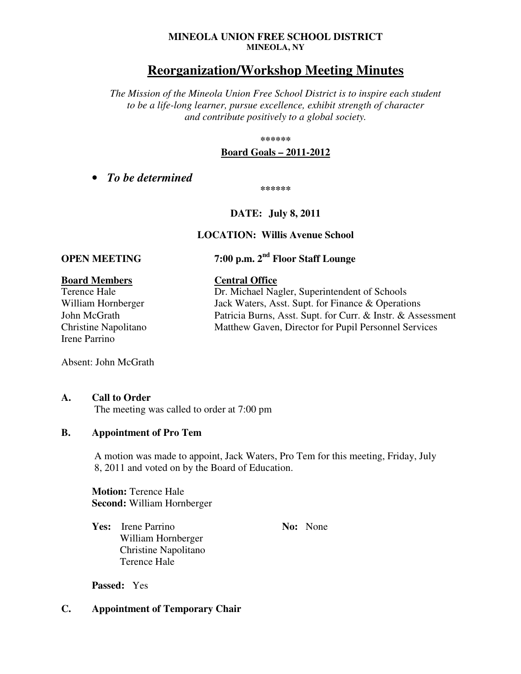#### **MINEOLA UNION FREE SCHOOL DISTRICT MINEOLA, NY**

# **Reorganization/Workshop Meeting Minutes**

*The Mission of the Mineola Union Free School District is to inspire each student to be a life-long learner, pursue excellence, exhibit strength of character and contribute positively to a global society.* 

#### **\*\*\*\*\*\***

#### **Board Goals – 2011-2012**

• *To be determined* 

**\*\*\*\*\*\*** 

#### **DATE: July 8, 2011**

#### **LOCATION: Willis Avenue School**

# **OPEN MEETING 7:00 p.m. 2nd Floor Staff Lounge**

## **Board Members Central Office**

Irene Parrino

Absent: John McGrath

#### **A. Call to Order**

The meeting was called to order at 7:00 pm

#### **B. Appointment of Pro Tem**

A motion was made to appoint, Jack Waters, Pro Tem for this meeting, Friday, July 8, 2011 and voted on by the Board of Education.

**Motion:** Terence Hale **Second:** William Hornberger

**Yes:** Irene Parrino **No: No: No: None** William Hornberger Christine Napolitano Terence Hale

**Passed:** Yes

#### **C. Appointment of Temporary Chair**

Terence Hale Dr. Michael Nagler, Superintendent of Schools William Hornberger Jack Waters, Asst. Supt. for Finance & Operations John McGrath Patricia Burns, Asst. Supt. for Curr. & Instr. & Assessment Christine Napolitano Matthew Gaven, Director for Pupil Personnel Services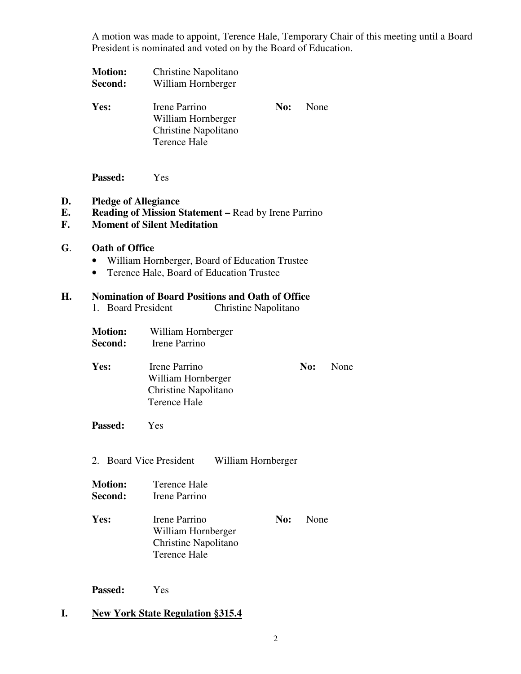A motion was made to appoint, Terence Hale, Temporary Chair of this meeting until a Board President is nominated and voted on by the Board of Education.

| <b>Motion:</b><br>Second: | Christine Napolitano<br>William Hornberger                                         |     |             |
|---------------------------|------------------------------------------------------------------------------------|-----|-------------|
| Yes:                      | Irene Parrino<br>William Hornberger<br>Christine Napolitano<br><b>Terence Hale</b> | No: | <b>None</b> |

**Passed:** Yes

#### **D. Pledge of Allegiance**

#### **E. Reading of Mission Statement –** Read by Irene Parrino

#### **F. Moment of Silent Meditation**

#### **G**. **Oath of Office**

- William Hornberger, Board of Education Trustee
- Terence Hale, Board of Education Trustee

## **H. Nomination of Board Positions and Oath of Office**

- 1. Board President Christine Napolitano
- **Motion:** William Hornberger
- **Second:** Irene Parrino
- Yes: Irene Parrino **No:** None William Hornberger Christine Napolitano Terence Hale
- **Passed:** Yes
- 2. Board Vice President William Hornberger

| <b>Motion:</b> | Terence Hale  |
|----------------|---------------|
| Second:        | Irene Parrino |

Yes: Irene Parrino **No:** None William Hornberger Christine Napolitano Terence Hale

**Passed:** Yes

#### **I. New York State Regulation §315.4**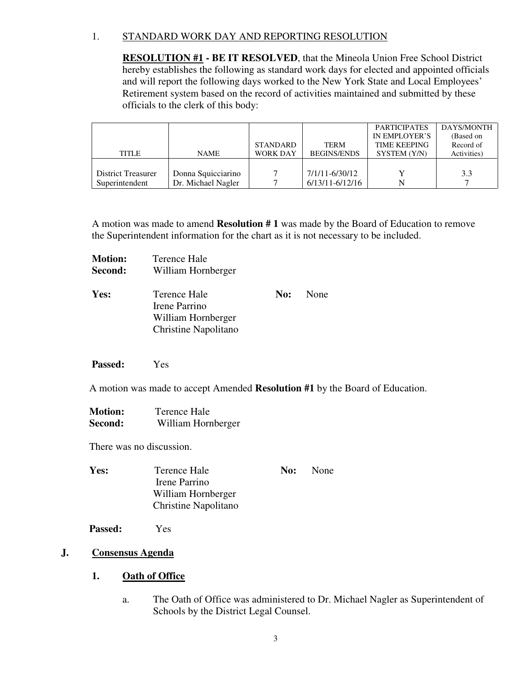## 1. STANDARD WORK DAY AND REPORTING RESOLUTION

**RESOLUTION #1 - BE IT RESOLVED**, that the Mineola Union Free School District hereby establishes the following as standard work days for elected and appointed officials and will report the following days worked to the New York State and Local Employees' Retirement system based on the record of activities maintained and submitted by these officials to the clerk of this body:

|                           |                    |                 |                     | <b>PARTICIPATES</b> | DAYS/MONTH  |
|---------------------------|--------------------|-----------------|---------------------|---------------------|-------------|
|                           |                    |                 |                     | IN EMPLOYER'S       | (Based on   |
|                           |                    | <b>STANDARD</b> | <b>TERM</b>         | <b>TIME KEEPING</b> | Record of   |
| TITLE                     | <b>NAME</b>        | <b>WORK DAY</b> | <b>BEGINS/ENDS</b>  | SYSTEM (Y/N)        | Activities) |
|                           |                    |                 |                     |                     |             |
| <b>District Treasurer</b> | Donna Squicciarino |                 | 7/1/11-6/30/12      |                     | 3.3         |
| Superintendent            | Dr. Michael Nagler |                 | $6/13/11 - 6/12/16$ |                     |             |

A motion was made to amend **Resolution # 1** was made by the Board of Education to remove the Superintendent information for the chart as it is not necessary to be included.

| <b>Motion:</b> | Terence Hale         |     |      |
|----------------|----------------------|-----|------|
| Second:        | William Hornberger   |     |      |
| Yes:           | Terence Hale         | No: | None |
|                | Irene Parrino        |     |      |
|                | William Hornberger   |     |      |
|                | Christine Napolitano |     |      |

#### **Passed:** Yes

A motion was made to accept Amended **Resolution #1** by the Board of Education.

 **Motion:** Terence Hale **Second:** William Hornberger

There was no discussion.

| Yes: | Terence Hale         | No: | None |
|------|----------------------|-----|------|
|      | Irene Parrino        |     |      |
|      | William Hornberger   |     |      |
|      | Christine Napolitano |     |      |

**Passed:** Yes

## **J. Consensus Agenda**

#### **1. Oath of Office**

a. The Oath of Office was administered to Dr. Michael Nagler as Superintendent of Schools by the District Legal Counsel.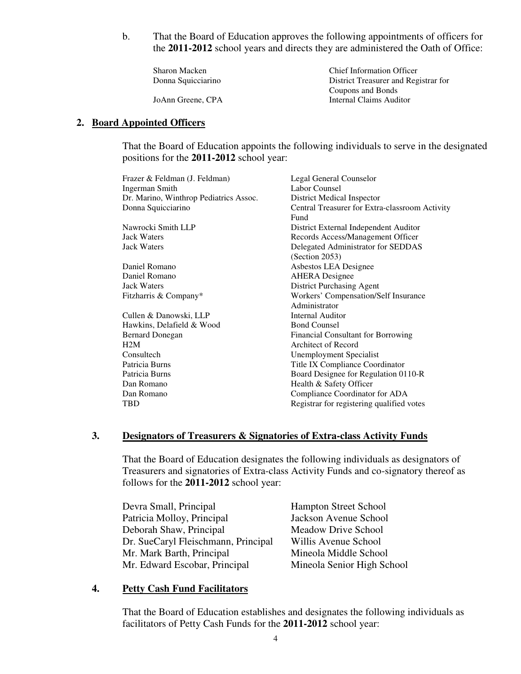b. That the Board of Education approves the following appointments of officers for the **2011-2012** school years and directs they are administered the Oath of Office:

Sharon Macken Chief Information Officer Donna Squicciarino District Treasurer and Registrar for Coupons and Bonds JoAnn Greene, CPA Internal Claims Auditor

## **2. Board Appointed Officers**

That the Board of Education appoints the following individuals to serve in the designated positions for the **2011-2012** school year:

| Frazer & Feldman (J. Feldman)          | Legal General Counselor                        |
|----------------------------------------|------------------------------------------------|
| <b>Ingerman Smith</b>                  | Labor Counsel                                  |
| Dr. Marino, Winthrop Pediatrics Assoc. | District Medical Inspector                     |
| Donna Squicciarino                     | Central Treasurer for Extra-classroom Activity |
|                                        | Fund                                           |
| Nawrocki Smith LLP                     | District External Independent Auditor          |
| <b>Jack Waters</b>                     | Records Access/Management Officer              |
| <b>Jack Waters</b>                     | Delegated Administrator for SEDDAS             |
|                                        | (Section 2053)                                 |
| Daniel Romano                          | Asbestos LEA Designee                          |
| Daniel Romano                          | <b>AHERA</b> Designee                          |
| <b>Jack Waters</b>                     | District Purchasing Agent                      |
| Fitzharris & Company*                  | <b>Workers' Compensation/Self Insurance</b>    |
|                                        | Administrator                                  |
| Cullen & Danowski, LLP                 | Internal Auditor                               |
| Hawkins, Delafield & Wood              | <b>Bond Counsel</b>                            |
| <b>Bernard Donegan</b>                 | Financial Consultant for Borrowing             |
| H2M                                    | Architect of Record                            |
| Consultech                             | Unemployment Specialist                        |
| Patricia Burns                         | Title IX Compliance Coordinator                |
| Patricia Burns                         | Board Designee for Regulation 0110-R           |
| Dan Romano                             | Health & Safety Officer                        |
| Dan Romano                             | Compliance Coordinator for ADA                 |
| <b>TBD</b>                             | Registrar for registering qualified votes      |
|                                        |                                                |

#### **3. Designators of Treasurers & Signatories of Extra-class Activity Funds**

That the Board of Education designates the following individuals as designators of Treasurers and signatories of Extra-class Activity Funds and co-signatory thereof as follows for the **2011-2012** school year:

Devra Small, Principal Hampton Street School Patricia Molloy, Principal Jackson Avenue School Deborah Shaw, Principal Meadow Drive School Dr. SueCaryl Fleischmann, Principal Willis Avenue School Mr. Mark Barth, Principal Mineola Middle School Mr. Edward Escobar, Principal Mineola Senior High School

#### **4. Petty Cash Fund Facilitators**

That the Board of Education establishes and designates the following individuals as facilitators of Petty Cash Funds for the **2011-2012** school year: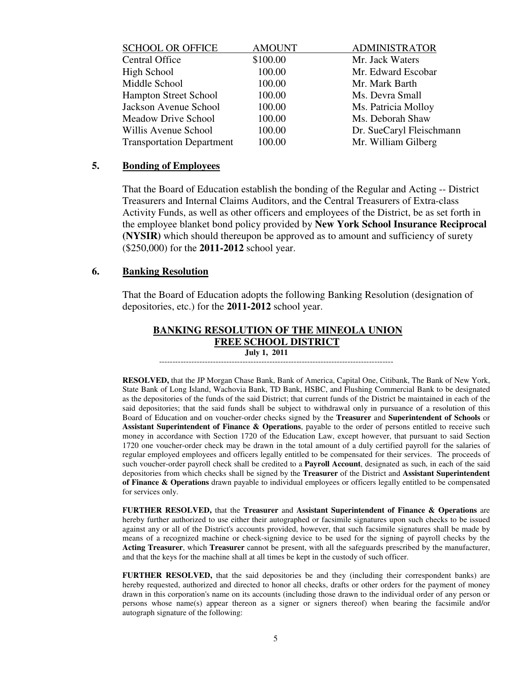| <b>SCHOOL OR OFFICE</b>          | <b>AMOUNT</b> | <b>ADMINISTRATOR</b>     |
|----------------------------------|---------------|--------------------------|
| <b>Central Office</b>            | \$100.00      | Mr. Jack Waters          |
| High School                      | 100.00        | Mr. Edward Escobar       |
| Middle School                    | 100.00        | Mr. Mark Barth           |
| <b>Hampton Street School</b>     | 100.00        | Ms. Devra Small          |
| Jackson Avenue School            | 100.00        | Ms. Patricia Molloy      |
| <b>Meadow Drive School</b>       | 100.00        | Ms. Deborah Shaw         |
| Willis Avenue School             | 100.00        | Dr. SueCaryl Fleischmann |
| <b>Transportation Department</b> | 100.00        | Mr. William Gilberg      |
|                                  |               |                          |

#### **5. Bonding of Employees**

 That the Board of Education establish the bonding of the Regular and Acting -- District Treasurers and Internal Claims Auditors, and the Central Treasurers of Extra-class Activity Funds, as well as other officers and employees of the District, be as set forth in the employee blanket bond policy provided by **New York School Insurance Reciprocal (NYSIR)** which should thereupon be approved as to amount and sufficiency of surety (\$250,000) for the **2011-2012** school year.

#### **6. Banking Resolution**

That the Board of Education adopts the following Banking Resolution (designation of depositories, etc.) for the **2011-2012** school year.

#### **BANKING RESOLUTION OF THE MINEOLA UNION FREE SCHOOL DISTRICT July 1, 2011** ---------------------------------------------------------------------------------------

 **RESOLVED,** that the JP Morgan Chase Bank, Bank of America, Capital One, Citibank, The Bank of New York, State Bank of Long Island, Wachovia Bank, TD Bank, HSBC, and Flushing Commercial Bank to be designated as the depositories of the funds of the said District; that current funds of the District be maintained in each of the said depositories; that the said funds shall be subject to withdrawal only in pursuance of a resolution of this Board of Education and on voucher-order checks signed by the **Treasurer** and **Superintendent of Schools** or **Assistant Superintendent of Finance & Operations**, payable to the order of persons entitled to receive such money in accordance with Section 1720 of the Education Law, except however, that pursuant to said Section 1720 one voucher-order check may be drawn in the total amount of a duly certified payroll for the salaries of regular employed employees and officers legally entitled to be compensated for their services. The proceeds of such voucher-order payroll check shall be credited to a **Payroll Account**, designated as such, in each of the said depositories from which checks shall be signed by the **Treasurer** of the District and **Assistant Superintendent of Finance & Operations** drawn payable to individual employees or officers legally entitled to be compensated for services only.

**FURTHER RESOLVED,** that the **Treasurer** and **Assistant Superintendent of Finance & Operations** are hereby further authorized to use either their autographed or facsimile signatures upon such checks to be issued against any or all of the District's accounts provided, however, that such facsimile signatures shall be made by means of a recognized machine or check-signing device to be used for the signing of payroll checks by the **Acting Treasurer**, which **Treasurer** cannot be present, with all the safeguards prescribed by the manufacturer, and that the keys for the machine shall at all times be kept in the custody of such officer.

**FURTHER RESOLVED,** that the said depositories be and they (including their correspondent banks) are hereby requested, authorized and directed to honor all checks, drafts or other orders for the payment of money drawn in this corporation's name on its accounts (including those drawn to the individual order of any person or persons whose name(s) appear thereon as a signer or signers thereof) when bearing the facsimile and/or autograph signature of the following: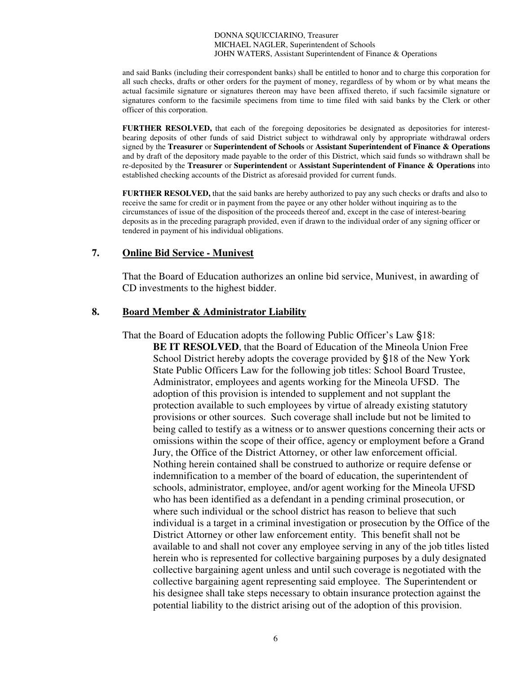DONNA SQUICCIARINO, Treasurer MICHAEL NAGLER, Superintendent of Schools JOHN WATERS, Assistant Superintendent of Finance & Operations

and said Banks (including their correspondent banks) shall be entitled to honor and to charge this corporation for all such checks, drafts or other orders for the payment of money, regardless of by whom or by what means the actual facsimile signature or signatures thereon may have been affixed thereto, if such facsimile signature or signatures conform to the facsimile specimens from time to time filed with said banks by the Clerk or other officer of this corporation.

**FURTHER RESOLVED,** that each of the foregoing depositories be designated as depositories for interestbearing deposits of other funds of said District subject to withdrawal only by appropriate withdrawal orders signed by the **Treasurer** or **Superintendent of Schools** or **Assistant Superintendent of Finance & Operations** and by draft of the depository made payable to the order of this District, which said funds so withdrawn shall be re-deposited by the **Treasurer** or **Superintendent** or **Assistant Superintendent of Finance & Operations** into established checking accounts of the District as aforesaid provided for current funds.

**FURTHER RESOLVED,** that the said banks are hereby authorized to pay any such checks or drafts and also to receive the same for credit or in payment from the payee or any other holder without inquiring as to the circumstances of issue of the disposition of the proceeds thereof and, except in the case of interest-bearing deposits as in the preceding paragraph provided, even if drawn to the individual order of any signing officer or tendered in payment of his individual obligations.

#### **7. Online Bid Service - Munivest**

That the Board of Education authorizes an online bid service, Munivest, in awarding of CD investments to the highest bidder.

#### **8. Board Member & Administrator Liability**

 That the Board of Education adopts the following Public Officer's Law §18: **BE IT RESOLVED**, that the Board of Education of the Mineola Union Free School District hereby adopts the coverage provided by §18 of the New York State Public Officers Law for the following job titles: School Board Trustee, Administrator, employees and agents working for the Mineola UFSD. The adoption of this provision is intended to supplement and not supplant the protection available to such employees by virtue of already existing statutory provisions or other sources. Such coverage shall include but not be limited to being called to testify as a witness or to answer questions concerning their acts or omissions within the scope of their office, agency or employment before a Grand Jury, the Office of the District Attorney, or other law enforcement official. Nothing herein contained shall be construed to authorize or require defense or indemnification to a member of the board of education, the superintendent of schools, administrator, employee, and/or agent working for the Mineola UFSD who has been identified as a defendant in a pending criminal prosecution, or where such individual or the school district has reason to believe that such individual is a target in a criminal investigation or prosecution by the Office of the District Attorney or other law enforcement entity. This benefit shall not be available to and shall not cover any employee serving in any of the job titles listed herein who is represented for collective bargaining purposes by a duly designated collective bargaining agent unless and until such coverage is negotiated with the collective bargaining agent representing said employee. The Superintendent or his designee shall take steps necessary to obtain insurance protection against the potential liability to the district arising out of the adoption of this provision.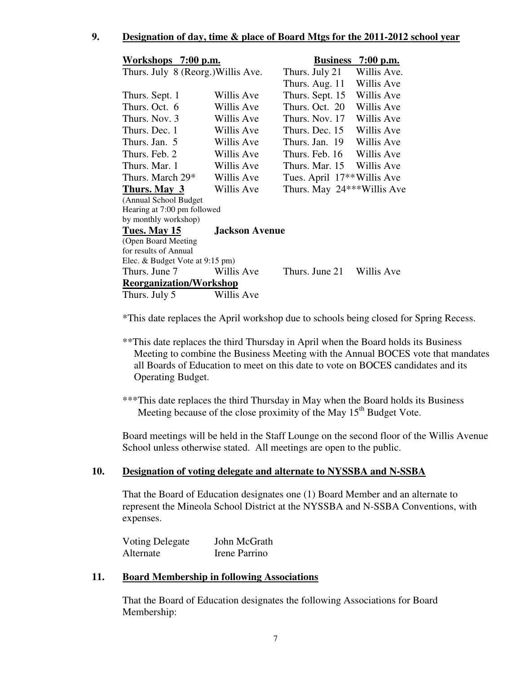## **9. Designation of day, time & place of Board Mtgs for the 2011-2012 school year**

| Workshops 7:00 p.m.                |                       |                                         | Business 7:00 p.m. |
|------------------------------------|-----------------------|-----------------------------------------|--------------------|
| Thurs. July 8 (Reorg.) Willis Ave. |                       | Thurs. July 21                          | Willis Ave.        |
|                                    |                       | Thurs. Aug. 11                          | Willis Ave         |
| Thurs. Sept. 1                     | Willis Ave            | Thurs. Sept. 15                         | Willis Ave         |
| Thurs. Oct. 6                      | Willis Ave            | Thurs. Oct. 20                          | Willis Ave         |
| Thurs. Nov. 3                      | Willis Ave            | Thurs. Nov. 17                          | Willis Ave         |
| Thurs. Dec. 1                      | Willis Ave            | Thurs. Dec. 15                          | Willis Ave         |
| Thurs. Jan. 5                      | Willis Ave            | Thurs. Jan. 19                          | Willis Ave         |
| Thurs. Feb. 2                      | Willis Ave            | Thurs. Feb. 16                          | Willis Ave         |
| Thurs. Mar. 1                      | Willis Ave            | Thurs. Mar. 15 Willis Ave               |                    |
| Thurs. March 29*                   | Willis Ave            | Tues. April 17 <sup>**</sup> Willis Ave |                    |
| Thurs. May 3                       | Willis Ave            | Thurs. May $24***$ Willis Ave           |                    |
| (Annual School Budget              |                       |                                         |                    |
| Hearing at 7:00 pm followed        |                       |                                         |                    |
| by monthly workshop)               |                       |                                         |                    |
| Tues. May 15                       | <b>Jackson Avenue</b> |                                         |                    |
| (Open Board Meeting                |                       |                                         |                    |
| for results of Annual              |                       |                                         |                    |
| Elec. & Budget Vote at 9:15 pm)    |                       |                                         |                    |
| Thurs. June 7                      | Willis Ave            | Thurs. June 21                          | Willis Ave         |
| <b>Reorganization/Workshop</b>     |                       |                                         |                    |
| Thurs. July 5                      | Willis Ave            |                                         |                    |

\*This date replaces the April workshop due to schools being closed for Spring Recess.

\*\*This date replaces the third Thursday in April when the Board holds its Business Meeting to combine the Business Meeting with the Annual BOCES vote that mandates all Boards of Education to meet on this date to vote on BOCES candidates and its Operating Budget.

\*\*\*This date replaces the third Thursday in May when the Board holds its Business Meeting because of the close proximity of the May 15<sup>th</sup> Budget Vote.

Board meetings will be held in the Staff Lounge on the second floor of the Willis Avenue School unless otherwise stated. All meetings are open to the public.

#### **10. Designation of voting delegate and alternate to NYSSBA and N-SSBA**

That the Board of Education designates one (1) Board Member and an alternate to represent the Mineola School District at the NYSSBA and N-SSBA Conventions, with expenses.

| Voting Delegate | John McGrath  |
|-----------------|---------------|
| Alternate       | Irene Parrino |

#### **11. Board Membership in following Associations**

That the Board of Education designates the following Associations for Board Membership: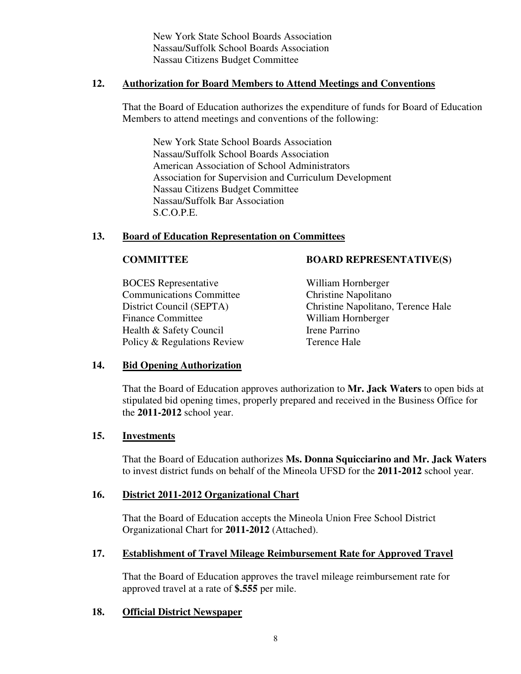New York State School Boards Association Nassau/Suffolk School Boards Association Nassau Citizens Budget Committee

#### **12. Authorization for Board Members to Attend Meetings and Conventions**

That the Board of Education authorizes the expenditure of funds for Board of Education Members to attend meetings and conventions of the following:

New York State School Boards Association Nassau/Suffolk School Boards Association American Association of School Administrators Association for Supervision and Curriculum Development Nassau Citizens Budget Committee Nassau/Suffolk Bar Association S.C.O.P.E.

## **13. Board of Education Representation on Committees**

 BOCES Representative William Hornberger Communications Committee Christine Napolitano Finance Committee William Hornberger Health & Safety Council **Irene Parrino** Policy & Regulations Review Terence Hale

## **COMMITTEE BOARD REPRESENTATIVE(S)**

District Council (SEPTA) Christine Napolitano, Terence Hale

#### **14. Bid Opening Authorization**

That the Board of Education approves authorization to **Mr. Jack Waters** to open bids at stipulated bid opening times, properly prepared and received in the Business Office for the **2011-2012** school year.

#### **15. Investments**

That the Board of Education authorizes **Ms. Donna Squicciarino and Mr. Jack Waters** to invest district funds on behalf of the Mineola UFSD for the **2011-2012** school year.

#### **16. District 2011-2012 Organizational Chart**

That the Board of Education accepts the Mineola Union Free School District Organizational Chart for **2011-2012** (Attached).

#### **17. Establishment of Travel Mileage Reimbursement Rate for Approved Travel**

That the Board of Education approves the travel mileage reimbursement rate for approved travel at a rate of **\$.555** per mile.

#### **18. Official District Newspaper**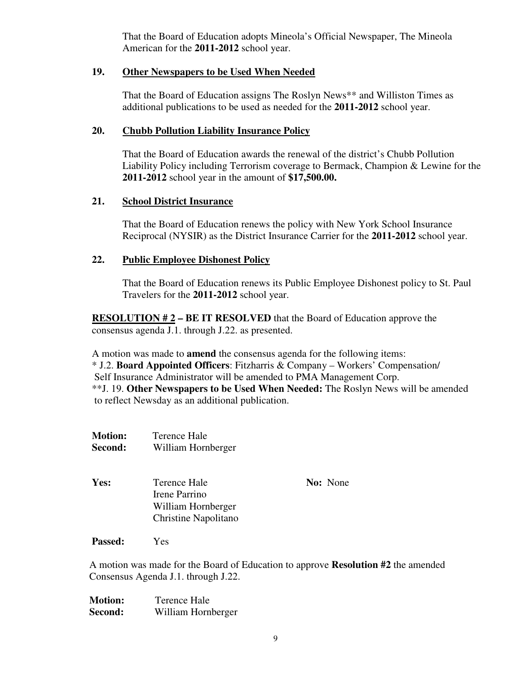That the Board of Education adopts Mineola's Official Newspaper, The Mineola American for the **2011-2012** school year.

## **19. Other Newspapers to be Used When Needed**

That the Board of Education assigns The Roslyn News\*\* and Williston Times as additional publications to be used as needed for the **2011-2012** school year.

## **20. Chubb Pollution Liability Insurance Policy**

That the Board of Education awards the renewal of the district's Chubb Pollution Liability Policy including Terrorism coverage to Bermack, Champion & Lewine for the **2011-2012** school year in the amount of **\$17,500.00.**

## **21. School District Insurance**

That the Board of Education renews the policy with New York School Insurance Reciprocal (NYSIR) as the District Insurance Carrier for the **2011-2012** school year.

## **22. Public Employee Dishonest Policy**

 That the Board of Education renews its Public Employee Dishonest policy to St. Paul Travelers for the **2011-2012** school year.

 **RESOLUTION # 2 – BE IT RESOLVED** that the Board of Education approve the consensus agenda J.1. through J.22. as presented.

 A motion was made to **amend** the consensus agenda for the following items: \* J.2. **Board Appointed Officers**: Fitzharris & Company – Workers' Compensation/ Self Insurance Administrator will be amended to PMA Management Corp. \*\*J. 19. **Other Newspapers to be Used When Needed:** The Roslyn News will be amended to reflect Newsday as an additional publication.

- **Motion:** Terence Hale  **Second:** William Hornberger
- **Yes:** Terence Hale **No:** None Irene Parrino William Hornberger Christine Napolitano

 **Passed:** Yes

 A motion was made for the Board of Education to approve **Resolution #2** the amended Consensus Agenda J.1. through J.22.

 **Motion:** Terence Hale  **Second:** William Hornberger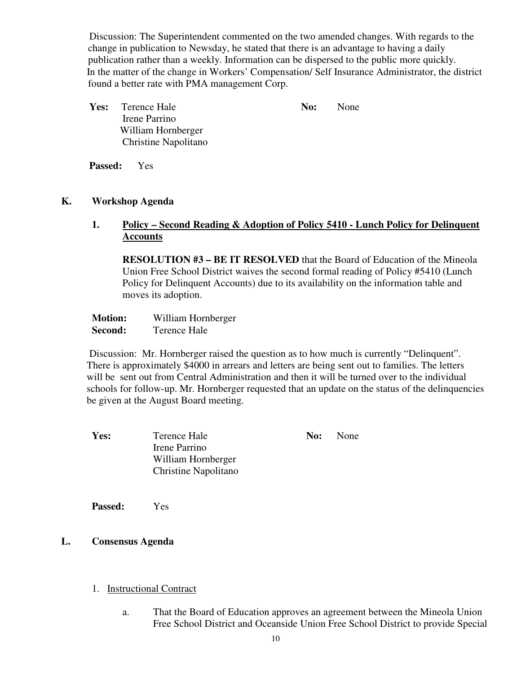Discussion: The Superintendent commented on the two amended changes. With regards to the change in publication to Newsday, he stated that there is an advantage to having a daily publication rather than a weekly. Information can be dispersed to the public more quickly. In the matter of the change in Workers' Compensation/ Self Insurance Administrator, the district found a better rate with PMA management Corp.

| <b>Yes:</b> Terence Hale    | No: | None |
|-----------------------------|-----|------|
| Irene Parrino               |     |      |
| William Hornberger          |     |      |
| <b>Christine Napolitano</b> |     |      |

**Passed:** Yes

## **K. Workshop Agenda**

## **1. Policy – Second Reading & Adoption of Policy 5410 - Lunch Policy for Delinquent Accounts**

**RESOLUTION #3 – BE IT RESOLVED** that the Board of Education of the Mineola Union Free School District waives the second formal reading of Policy #5410 (Lunch Policy for Delinquent Accounts) due to its availability on the information table and moves its adoption.

| <b>Motion:</b> | William Hornberger |
|----------------|--------------------|
| Second:        | Terence Hale       |

 Discussion: Mr. Hornberger raised the question as to how much is currently "Delinquent". There is approximately \$4000 in arrears and letters are being sent out to families. The letters will be sent out from Central Administration and then it will be turned over to the individual schools for follow-up. Mr. Hornberger requested that an update on the status of the delinquencies be given at the August Board meeting.

**Yes:** Terence Hale **No:** None Irene Parrino William Hornberger Christine Napolitano

**Passed:** Yes

## **L. Consensus Agenda**

- 1. Instructional Contract
	- a. That the Board of Education approves an agreement between the Mineola Union Free School District and Oceanside Union Free School District to provide Special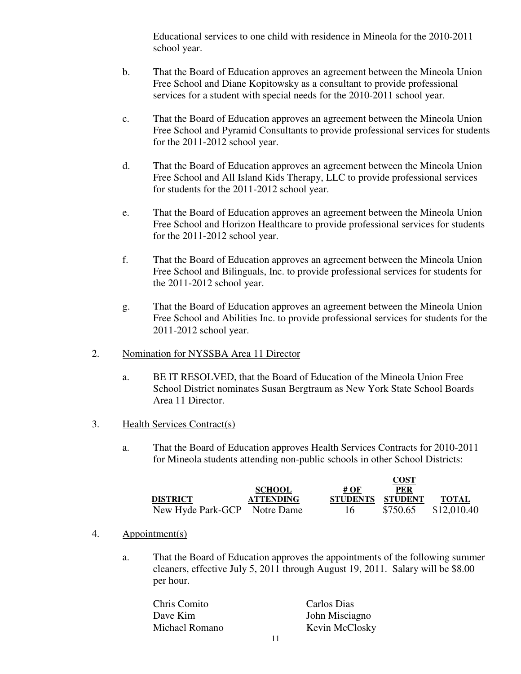Educational services to one child with residence in Mineola for the 2010-2011 school year.

- b. That the Board of Education approves an agreement between the Mineola Union Free School and Diane Kopitowsky as a consultant to provide professional services for a student with special needs for the 2010-2011 school year.
- c. That the Board of Education approves an agreement between the Mineola Union Free School and Pyramid Consultants to provide professional services for students for the 2011-2012 school year.
- d. That the Board of Education approves an agreement between the Mineola Union Free School and All Island Kids Therapy, LLC to provide professional services for students for the 2011-2012 school year.
- e. That the Board of Education approves an agreement between the Mineola Union Free School and Horizon Healthcare to provide professional services for students for the 2011-2012 school year.
- f. That the Board of Education approves an agreement between the Mineola Union Free School and Bilinguals, Inc. to provide professional services for students for the 2011-2012 school year.
- g. That the Board of Education approves an agreement between the Mineola Union Free School and Abilities Inc. to provide professional services for students for the 2011-2012 school year.
- 2. Nomination for NYSSBA Area 11 Director
	- a. BE IT RESOLVED, that the Board of Education of the Mineola Union Free School District nominates Susan Bergtraum as New York State School Boards Area 11 Director.
- 3. Health Services Contract(s)
	- a. That the Board of Education approves Health Services Contracts for 2010-2011 for Mineola students attending non-public schools in other School Districts:

|                              |                  |                  | <b>UUJI</b> |              |
|------------------------------|------------------|------------------|-------------|--------------|
|                              | <b>SCHOOL</b>    | # OF             | PER         |              |
| <b>DISTRICT</b>              | <b>ATTENDING</b> | STUDENTS STUDENT |             | <b>TOTAL</b> |
| New Hyde Park-GCP Notre Dame |                  | 16               | \$750.65    | \$12,010.40  |

**COST** 

- 4. Appointment(s)
	- a. That the Board of Education approves the appointments of the following summer cleaners, effective July 5, 2011 through August 19, 2011. Salary will be \$8.00 per hour.

| Chris Comito   | Carlos Dias    |
|----------------|----------------|
| Dave Kim       | John Misciagno |
| Michael Romano | Kevin McClosky |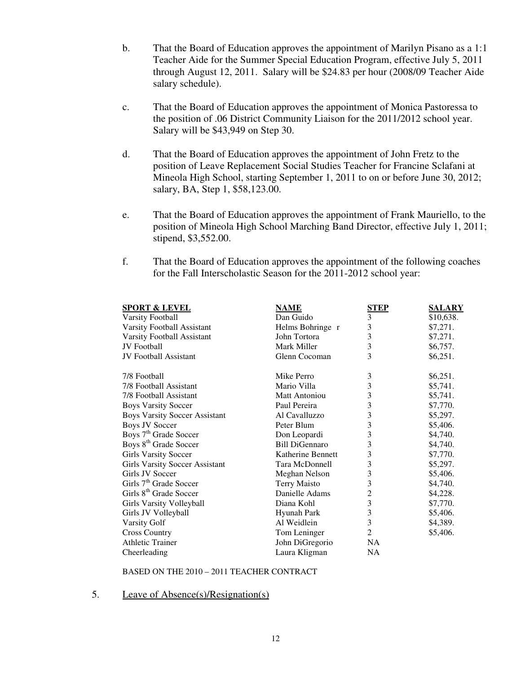- b. That the Board of Education approves the appointment of Marilyn Pisano as a 1:1 Teacher Aide for the Summer Special Education Program, effective July 5, 2011 through August 12, 2011. Salary will be \$24.83 per hour (2008/09 Teacher Aide salary schedule).
- c. That the Board of Education approves the appointment of Monica Pastoressa to the position of .06 District Community Liaison for the 2011/2012 school year. Salary will be \$43,949 on Step 30.
- d. That the Board of Education approves the appointment of John Fretz to the position of Leave Replacement Social Studies Teacher for Francine Sclafani at Mineola High School, starting September 1, 2011 to on or before June 30, 2012; salary, BA, Step 1, \$58,123.00.
- e. That the Board of Education approves the appointment of Frank Mauriello, to the position of Mineola High School Marching Band Director, effective July 1, 2011; stipend, \$3,552.00.
- f. That the Board of Education approves the appointment of the following coaches for the Fall Interscholastic Season for the 2011-2012 school year:

| <b>SPORT &amp; LEVEL</b>              | <b>NAME</b>           | <b>STEP</b> | <b>SALARY</b> |
|---------------------------------------|-----------------------|-------------|---------------|
| <b>Varsity Football</b>               | Dan Guido             | 3           | \$10,638.     |
| Varsity Football Assistant            | Helms Bohringe r      | 3           | \$7,271.      |
| Varsity Football Assistant            | John Tortora          | 3           | \$7,271.      |
| <b>JV</b> Football                    | Mark Miller           | 3           | \$6,757.      |
| <b>JV</b> Football Assistant          | Glenn Cocoman         | 3           | \$6,251.      |
| 7/8 Football                          | Mike Perro            | 3           | \$6,251.      |
| 7/8 Football Assistant                | Mario Villa           | 3           | \$5,741.      |
| 7/8 Football Assistant                | <b>Matt Antoniou</b>  | 3           | \$5,741.      |
| <b>Boys Varsity Soccer</b>            | Paul Pereira          | 3           | \$7,770.      |
| <b>Boys Varsity Soccer Assistant</b>  | Al Cavalluzzo         | 3           | \$5,297.      |
| <b>Boys JV Soccer</b>                 | Peter Blum            | 3           | \$5,406.      |
| Boys 7 <sup>th</sup> Grade Soccer     | Don Leopardi          | 3           | \$4,740.      |
| Boys 8 <sup>th</sup> Grade Soccer     | <b>Bill DiGennaro</b> | 3           | \$4,740.      |
| <b>Girls Varsity Soccer</b>           | Katherine Bennett     | 3           | \$7,770.      |
| <b>Girls Varsity Soccer Assistant</b> | Tara McDonnell        | 3           | \$5,297.      |
| Girls JV Soccer                       | Meghan Nelson         | 3           | \$5,406.      |
| Girls 7 <sup>th</sup> Grade Soccer    | <b>Terry Maisto</b>   | 3           | \$4,740.      |
| Girls 8 <sup>th</sup> Grade Soccer    | Danielle Adams        | 2           | \$4,228.      |
| Girls Varsity Volleyball              | Diana Kohl            | 3           | \$7,770.      |
| Girls JV Volleyball                   | <b>Hyunah Park</b>    | 3           | \$5,406.      |
| <b>Varsity Golf</b>                   | Al Weidlein           | 3           | \$4,389.      |
| <b>Cross Country</b>                  | Tom Leninger          | 2           | \$5,406.      |
| <b>Athletic Trainer</b>               | John DiGregorio       | NA.         |               |
| Cheerleading                          | Laura Kligman         | <b>NA</b>   |               |

#### BASED ON THE 2010 – 2011 TEACHER CONTRACT

#### 5. Leave of Absence(s)/Resignation(s)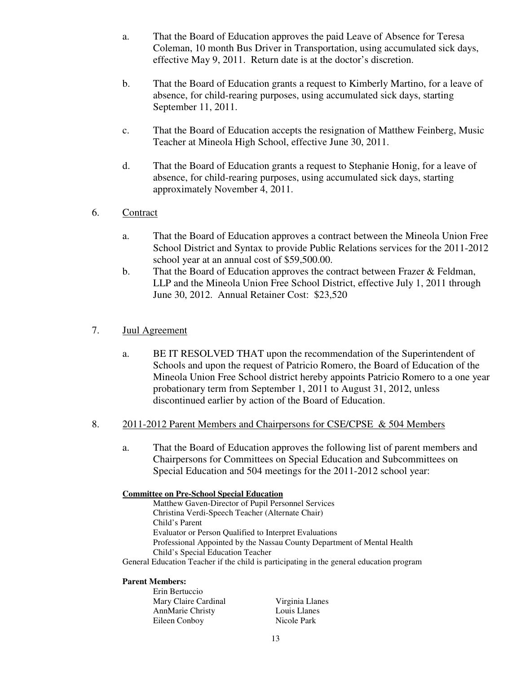- a. That the Board of Education approves the paid Leave of Absence for Teresa Coleman, 10 month Bus Driver in Transportation, using accumulated sick days, effective May 9, 2011. Return date is at the doctor's discretion.
- b. That the Board of Education grants a request to Kimberly Martino, for a leave of absence, for child-rearing purposes, using accumulated sick days, starting September 11, 2011.
- c. That the Board of Education accepts the resignation of Matthew Feinberg, Music Teacher at Mineola High School, effective June 30, 2011.
- d. That the Board of Education grants a request to Stephanie Honig, for a leave of absence, for child-rearing purposes, using accumulated sick days, starting approximately November 4, 2011.
- 6. Contract
	- a. That the Board of Education approves a contract between the Mineola Union Free School District and Syntax to provide Public Relations services for the 2011-2012 school year at an annual cost of \$59,500.00.
	- b. That the Board of Education approves the contract between Frazer & Feldman, LLP and the Mineola Union Free School District, effective July 1, 2011 through June 30, 2012. Annual Retainer Cost: \$23,520

## 7. Juul Agreement

a. BE IT RESOLVED THAT upon the recommendation of the Superintendent of Schools and upon the request of Patricio Romero, the Board of Education of the Mineola Union Free School district hereby appoints Patricio Romero to a one year probationary term from September 1, 2011 to August 31, 2012, unless discontinued earlier by action of the Board of Education.

#### 8. 2011-2012 Parent Members and Chairpersons for CSE/CPSE & 504 Members

a. That the Board of Education approves the following list of parent members and Chairpersons for Committees on Special Education and Subcommittees on Special Education and 504 meetings for the 2011-2012 school year:

| <b>Committee on Pre-School Special Education</b>                                         |  |  |  |
|------------------------------------------------------------------------------------------|--|--|--|
| Matthew Gaven-Director of Pupil Personnel Services                                       |  |  |  |
| Christina Verdi-Speech Teacher (Alternate Chair)                                         |  |  |  |
| Child's Parent                                                                           |  |  |  |
| Evaluator or Person Qualified to Interpret Evaluations                                   |  |  |  |
| Professional Appointed by the Nassau County Department of Mental Health                  |  |  |  |
| Child's Special Education Teacher                                                        |  |  |  |
| General Education Teacher if the child is participating in the general education program |  |  |  |
|                                                                                          |  |  |  |

#### **Parent Members:**

| Virginia Llanes |
|-----------------|
| Louis Llanes    |
| Nicole Park     |
|                 |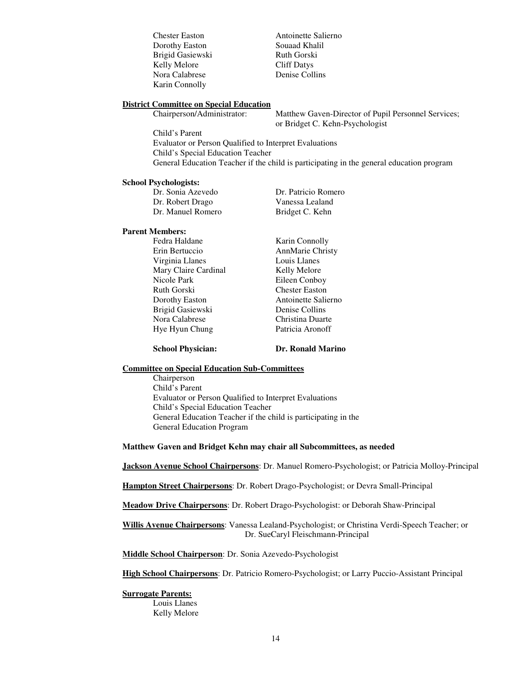Dorothy Easton Souaad Khalil Brigid Gasiewski Ruth Gorski Kelly Melore Cliff Datys Nora Calabrese Denise Collins Karin Connolly

Chester Easton Antoinette Salierno

#### **District Committee on Special Education**

Chairperson/Administrator: Matthew Gaven-Director of Pupil Personnel Services; or Bridget C. Kehn-Psychologist

Child's Parent Evaluator or Person Qualified to Interpret Evaluations Child's Special Education Teacher General Education Teacher if the child is participating in the general education program

#### **School Psychologists:**

| Dr. Sonia Azevedo | Dr. Patricio Romero |
|-------------------|---------------------|
| Dr. Robert Drago  | Vanessa Lealand     |
| Dr. Manuel Romero | Bridget C. Kehn     |

#### **Parent Members:**

Fedra Haldane Karin Connolly Erin Bertuccio AnnMarie Christy Virginia Llanes Louis Llanes Mary Claire Cardinal Kelly Melore<br>Nicole Park Eileen Conbo Ruth Gorski<br>
Dorothy Easton<br>
Antoinette Salie Brigid Gasiewski Denise Collins Nora Calabrese Christina Duarte Hye Hyun Chung Patricia Aronoff

Eileen Conboy Antoinette Salierno

**School Physician: Dr. Ronald Marino** 

#### **Committee on Special Education Sub-Committees**

Chairperson Child's Parent Evaluator or Person Qualified to Interpret Evaluations Child's Special Education Teacher General Education Teacher if the child is participating in the General Education Program

#### **Matthew Gaven and Bridget Kehn may chair all Subcommittees, as needed**

**Jackson Avenue School Chairpersons**: Dr. Manuel Romero-Psychologist; or Patricia Molloy-Principal

**Hampton Street Chairpersons**: Dr. Robert Drago-Psychologist; or Devra Small-Principal

**Meadow Drive Chairpersons**: Dr. Robert Drago-Psychologist: or Deborah Shaw-Principal

**Willis Avenue Chairpersons**: Vanessa Lealand-Psychologist; or Christina Verdi-Speech Teacher; or Dr. SueCaryl Fleischmann-Principal

**Middle School Chairperson**: Dr. Sonia Azevedo-Psychologist

**High School Chairpersons**: Dr. Patricio Romero-Psychologist; or Larry Puccio-Assistant Principal

#### **Surrogate Parents:**

Louis Llanes Kelly Melore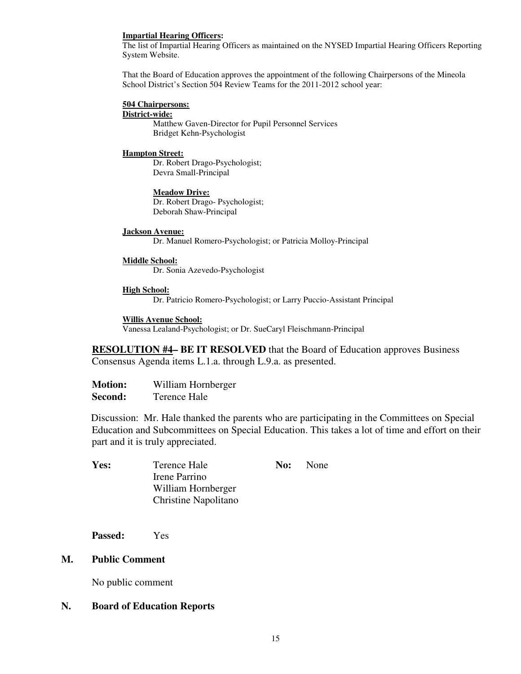#### **Impartial Hearing Officers:**

The list of Impartial Hearing Officers as maintained on the NYSED Impartial Hearing Officers Reporting System Website.

That the Board of Education approves the appointment of the following Chairpersons of the Mineola School District's Section 504 Review Teams for the 2011-2012 school year:

#### **504 Chairpersons: District-wide:**

Matthew Gaven-Director for Pupil Personnel Services Bridget Kehn-Psychologist

#### **Hampton Street:**

Dr. Robert Drago-Psychologist; Devra Small-Principal

**Meadow Drive:** Dr. Robert Drago- Psychologist; Deborah Shaw-Principal

#### **Jackson Avenue:**

Dr. Manuel Romero-Psychologist; or Patricia Molloy-Principal

#### **Middle School:**

Dr. Sonia Azevedo-Psychologist

#### **High School:**

Dr. Patricio Romero-Psychologist; or Larry Puccio-Assistant Principal

#### **Willis Avenue School:**

Vanessa Lealand-Psychologist; or Dr. SueCaryl Fleischmann-Principal

**RESOLUTION #4– BE IT RESOLVED** that the Board of Education approves Business Consensus Agenda items L.1.a. through L.9.a. as presented.

| <b>Motion:</b> | William Hornberger |
|----------------|--------------------|
| <b>Second:</b> | Terence Hale       |

 Discussion: Mr. Hale thanked the parents who are participating in the Committees on Special Education and Subcommittees on Special Education. This takes a lot of time and effort on their part and it is truly appreciated.

| Yes: | Terence Hale         | <b>No:</b> None |
|------|----------------------|-----------------|
|      | Irene Parrino        |                 |
|      | William Hornberger   |                 |
|      | Christine Napolitano |                 |
|      |                      |                 |

**Passed:** Yes

#### **M. Public Comment**

No public comment

## **N. Board of Education Reports**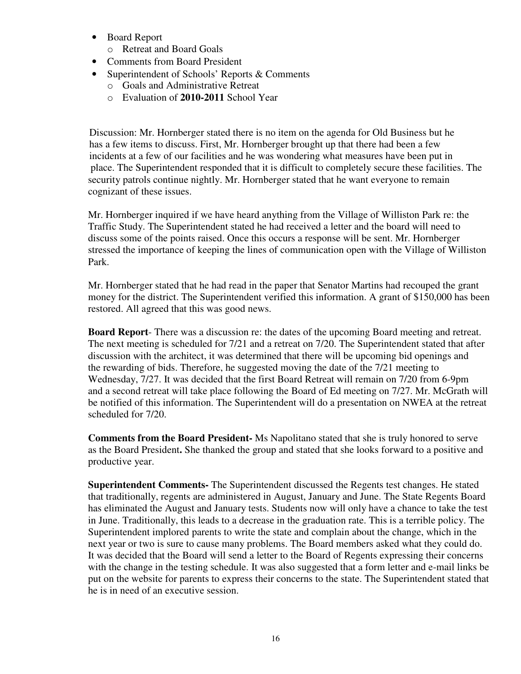- Board Report
	- o Retreat and Board Goals
- Comments from Board President
- Superintendent of Schools' Reports & Comments
	- o Goals and Administrative Retreat
	- o Evaluation of **2010-2011** School Year

 Discussion: Mr. Hornberger stated there is no item on the agenda for Old Business but he has a few items to discuss. First, Mr. Hornberger brought up that there had been a few incidents at a few of our facilities and he was wondering what measures have been put in place. The Superintendent responded that it is difficult to completely secure these facilities. The security patrols continue nightly. Mr. Hornberger stated that he want everyone to remain cognizant of these issues.

Mr. Hornberger inquired if we have heard anything from the Village of Williston Park re: the Traffic Study. The Superintendent stated he had received a letter and the board will need to discuss some of the points raised. Once this occurs a response will be sent. Mr. Hornberger stressed the importance of keeping the lines of communication open with the Village of Williston Park.

Mr. Hornberger stated that he had read in the paper that Senator Martins had recouped the grant money for the district. The Superintendent verified this information. A grant of \$150,000 has been restored. All agreed that this was good news.

**Board Report**- There was a discussion re: the dates of the upcoming Board meeting and retreat. The next meeting is scheduled for 7/21 and a retreat on 7/20. The Superintendent stated that after discussion with the architect, it was determined that there will be upcoming bid openings and the rewarding of bids. Therefore, he suggested moving the date of the 7/21 meeting to Wednesday, 7/27. It was decided that the first Board Retreat will remain on 7/20 from 6-9pm and a second retreat will take place following the Board of Ed meeting on 7/27. Mr. McGrath will be notified of this information. The Superintendent will do a presentation on NWEA at the retreat scheduled for 7/20.

**Comments from the Board President-** Ms Napolitano stated that she is truly honored to serve as the Board President**.** She thanked the group and stated that she looks forward to a positive and productive year.

**Superintendent Comments-** The Superintendent discussed the Regents test changes. He stated that traditionally, regents are administered in August, January and June. The State Regents Board has eliminated the August and January tests. Students now will only have a chance to take the test in June. Traditionally, this leads to a decrease in the graduation rate. This is a terrible policy. The Superintendent implored parents to write the state and complain about the change, which in the next year or two is sure to cause many problems. The Board members asked what they could do. It was decided that the Board will send a letter to the Board of Regents expressing their concerns with the change in the testing schedule. It was also suggested that a form letter and e-mail links be put on the website for parents to express their concerns to the state. The Superintendent stated that he is in need of an executive session.